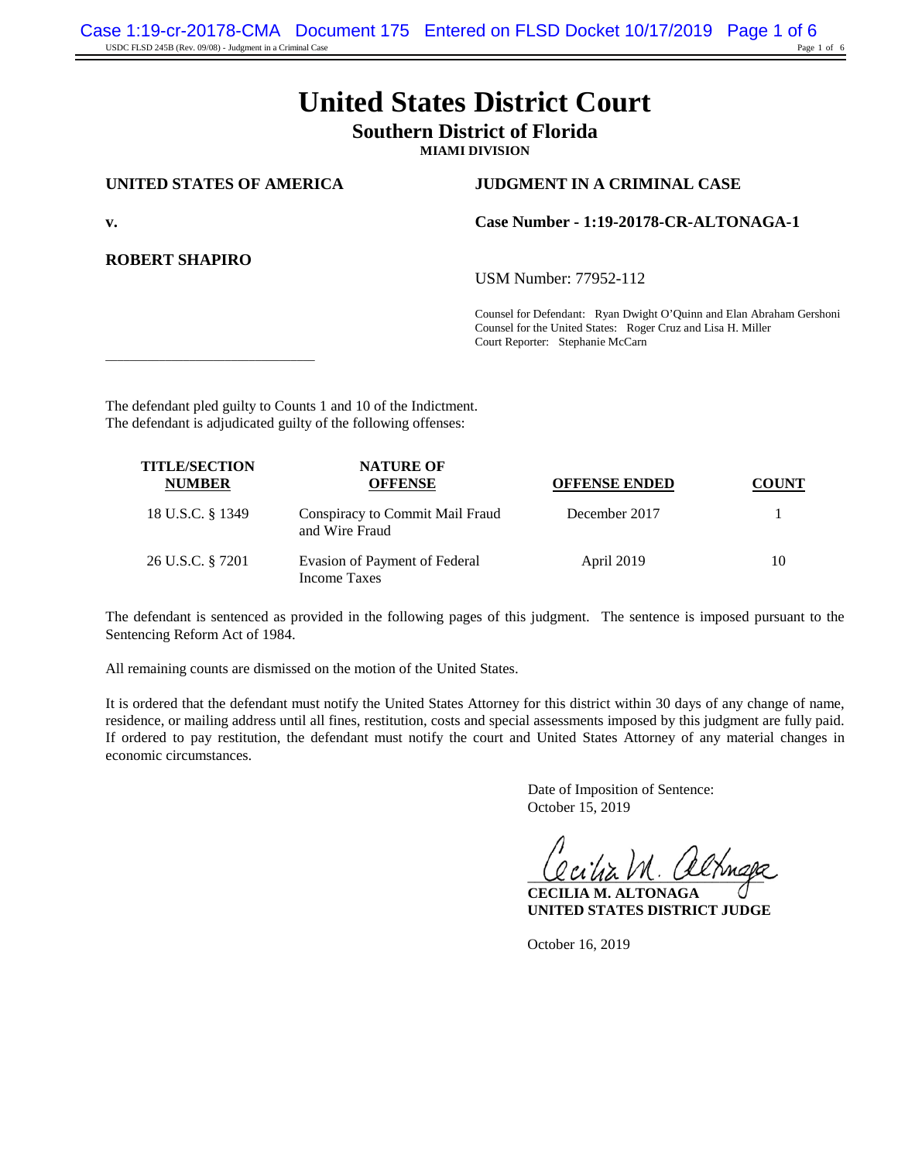# **United States District Court**

# **Southern District of Florida**

**MIAMI DIVISION**

\_\_\_\_\_\_\_\_\_\_\_\_\_\_\_\_\_\_\_\_\_\_\_\_\_\_\_\_\_\_\_\_\_\_\_

#### **UNITED STATES OF AMERICA JUDGMENT IN A CRIMINAL CASE**

**ROBERT SHAPIRO**

**v. Case Number - 1:19-20178-CR-ALTONAGA-1**

USM Number: 77952-112

Counsel for Defendant: Ryan Dwight O'Quinn and Elan Abraham Gershoni Counsel for the United States: Roger Cruz and Lisa H. Miller Court Reporter: Stephanie McCarn

The defendant pled guilty to Counts 1 and 10 of the Indictment. The defendant is adjudicated guilty of the following offenses:

| <b>TITLE/SECTION</b><br><b>NUMBER</b> | <b>NATURE OF</b><br><b>OFFENSE</b>                | <b>OFFENSE ENDED</b> | COUNT |
|---------------------------------------|---------------------------------------------------|----------------------|-------|
| 18 U.S.C. § 1349                      | Conspiracy to Commit Mail Fraud<br>and Wire Fraud | December 2017        |       |
| 26 U.S.C. § 7201                      | Evasion of Payment of Federal<br>Income Taxes     | April 2019           | 10    |

The defendant is sentenced as provided in the following pages of this judgment. The sentence is imposed pursuant to the Sentencing Reform Act of 1984.

All remaining counts are dismissed on the motion of the United States.

It is ordered that the defendant must notify the United States Attorney for this district within 30 days of any change of name, residence, or mailing address until all fines, restitution, costs and special assessments imposed by this judgment are fully paid. If ordered to pay restitution, the defendant must notify the court and United States Attorney of any material changes in economic circumstances.

> Date of Imposition of Sentence: October 15, 2019

 $U$ ana $V$ n. Oximiga

**CECILIA M. ALTONAGA UNITED STATES DISTRICT JUDGE**

October 16, 2019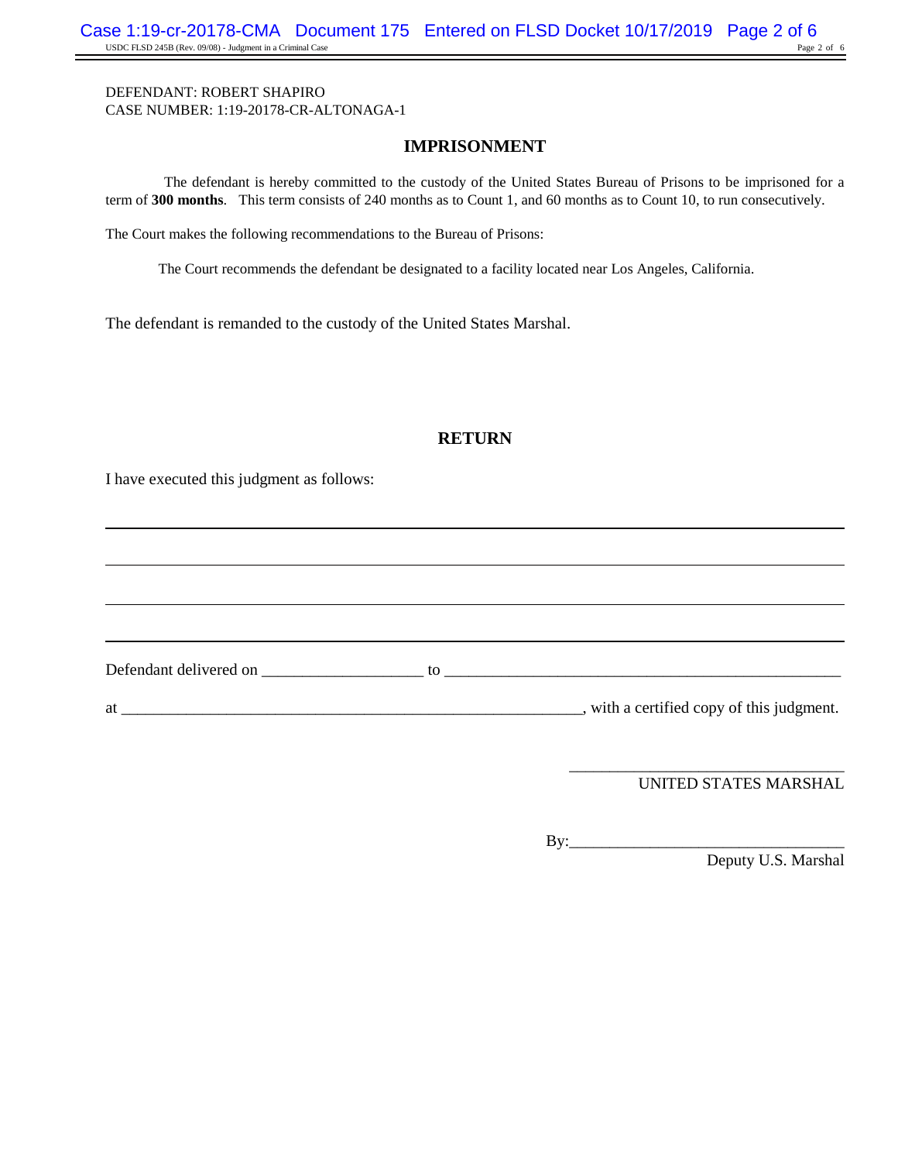### **IMPRISONMENT**

The defendant is hereby committed to the custody of the United States Bureau of Prisons to be imprisoned for a term of **300 months**. This term consists of 240 months as to Count 1, and 60 months as to Count 10, to run consecutively.

The Court makes the following recommendations to the Bureau of Prisons:

The Court recommends the defendant be designated to a facility located near Los Angeles, California.

The defendant is remanded to the custody of the United States Marshal.

## **RETURN**

I have executed this judgment as follows:

Defendant delivered on \_\_\_\_\_\_\_\_\_\_\_\_\_\_\_\_\_\_\_\_ to \_\_\_\_\_\_\_\_\_\_\_\_\_\_\_\_\_\_\_\_\_\_\_\_\_\_\_\_\_\_\_\_\_\_\_\_\_\_\_\_\_\_\_\_\_\_\_\_\_ at \_\_\_\_\_\_\_\_\_\_\_\_\_\_\_\_\_\_\_\_\_\_\_\_\_\_\_\_\_\_\_\_\_\_\_\_\_\_\_\_\_\_\_\_\_\_\_\_\_\_\_\_\_\_\_\_\_, with a certified copy of this judgment.

> \_\_\_\_\_\_\_\_\_\_\_\_\_\_\_\_\_\_\_\_\_\_\_\_\_\_\_\_\_\_\_\_\_\_ UNITED STATES MARSHAL

By:\_\_\_\_\_\_\_\_\_\_\_\_\_\_\_\_\_\_\_\_\_\_\_\_\_\_\_\_\_\_\_\_\_\_

Deputy U.S. Marshal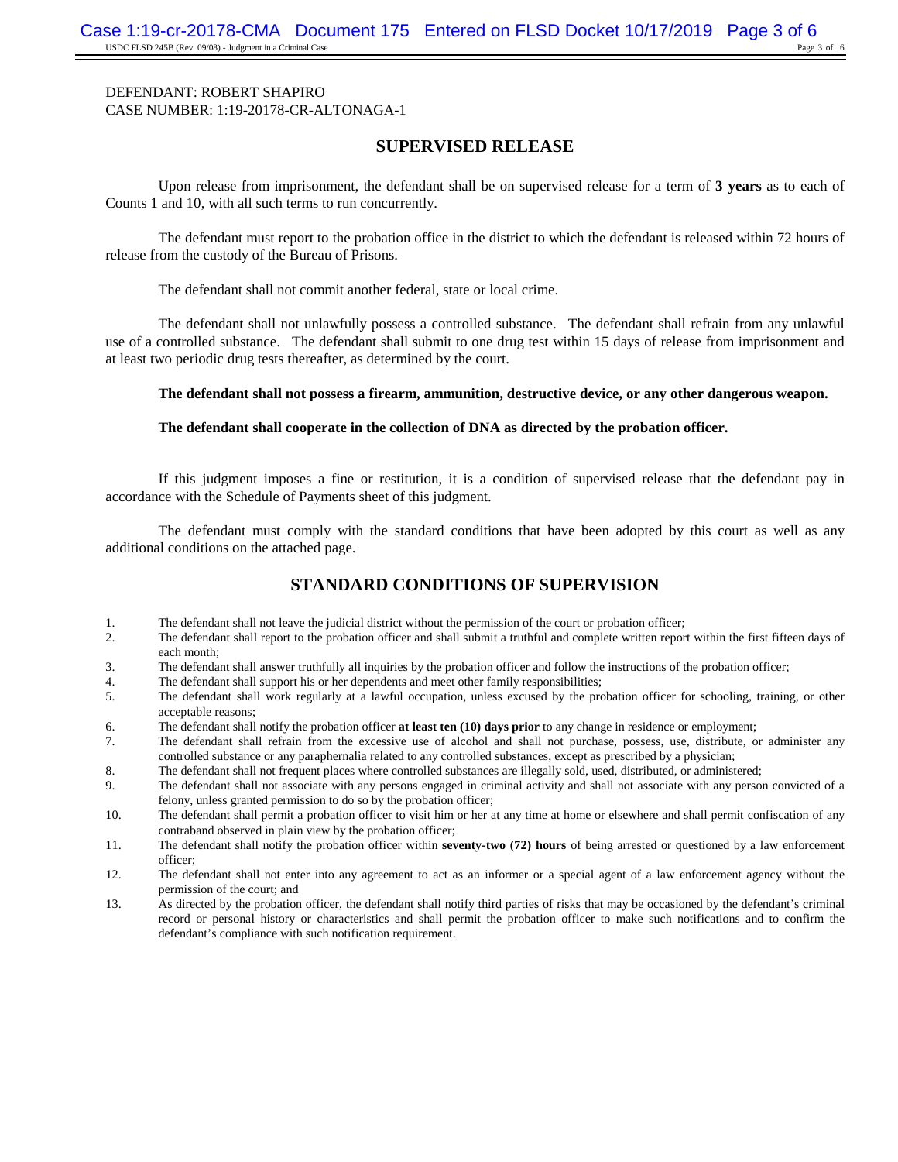#### **SUPERVISED RELEASE**

Upon release from imprisonment, the defendant shall be on supervised release for a term of **3 years** as to each of Counts 1 and 10, with all such terms to run concurrently.

The defendant must report to the probation office in the district to which the defendant is released within 72 hours of release from the custody of the Bureau of Prisons.

The defendant shall not commit another federal, state or local crime.

The defendant shall not unlawfully possess a controlled substance. The defendant shall refrain from any unlawful use of a controlled substance. The defendant shall submit to one drug test within 15 days of release from imprisonment and at least two periodic drug tests thereafter, as determined by the court.

**The defendant shall not possess a firearm, ammunition, destructive device, or any other dangerous weapon.**

#### **The defendant shall cooperate in the collection of DNA as directed by the probation officer.**

If this judgment imposes a fine or restitution, it is a condition of supervised release that the defendant pay in accordance with the Schedule of Payments sheet of this judgment.

The defendant must comply with the standard conditions that have been adopted by this court as well as any additional conditions on the attached page.

# **STANDARD CONDITIONS OF SUPERVISION**

- 1. The defendant shall not leave the judicial district without the permission of the court or probation officer;<br>2. The defendant shall report to the probation officer and shall submit a truthful and complete written repor
- The defendant shall report to the probation officer and shall submit a truthful and complete written report within the first fifteen days of each month;
- 3. The defendant shall answer truthfully all inquiries by the probation officer and follow the instructions of the probation officer;
- 4. The defendant shall support his or her dependents and meet other family responsibilities;
- 5. The defendant shall work regularly at a lawful occupation, unless excused by the probation officer for schooling, training, or other acceptable reasons;
- 6. The defendant shall notify the probation officer **at least ten (10) days prior** to any change in residence or employment;
- 7. The defendant shall refrain from the excessive use of alcohol and shall not purchase, possess, use, distribute, or administer any controlled substance or any paraphernalia related to any controlled substances, except as prescribed by a physician;
- 8. The defendant shall not frequent places where controlled substances are illegally sold, used, distributed, or administered;
- 9. The defendant shall not associate with any persons engaged in criminal activity and shall not associate with any person convicted of a felony, unless granted permission to do so by the probation officer;
- 10. The defendant shall permit a probation officer to visit him or her at any time at home or elsewhere and shall permit confiscation of any contraband observed in plain view by the probation officer;
- 11. The defendant shall notify the probation officer within **seventy-two (72) hours** of being arrested or questioned by a law enforcement officer;
- 12. The defendant shall not enter into any agreement to act as an informer or a special agent of a law enforcement agency without the permission of the court; and
- 13. As directed by the probation officer, the defendant shall notify third parties of risks that may be occasioned by the defendant's criminal record or personal history or characteristics and shall permit the probation officer to make such notifications and to confirm the defendant's compliance with such notification requirement.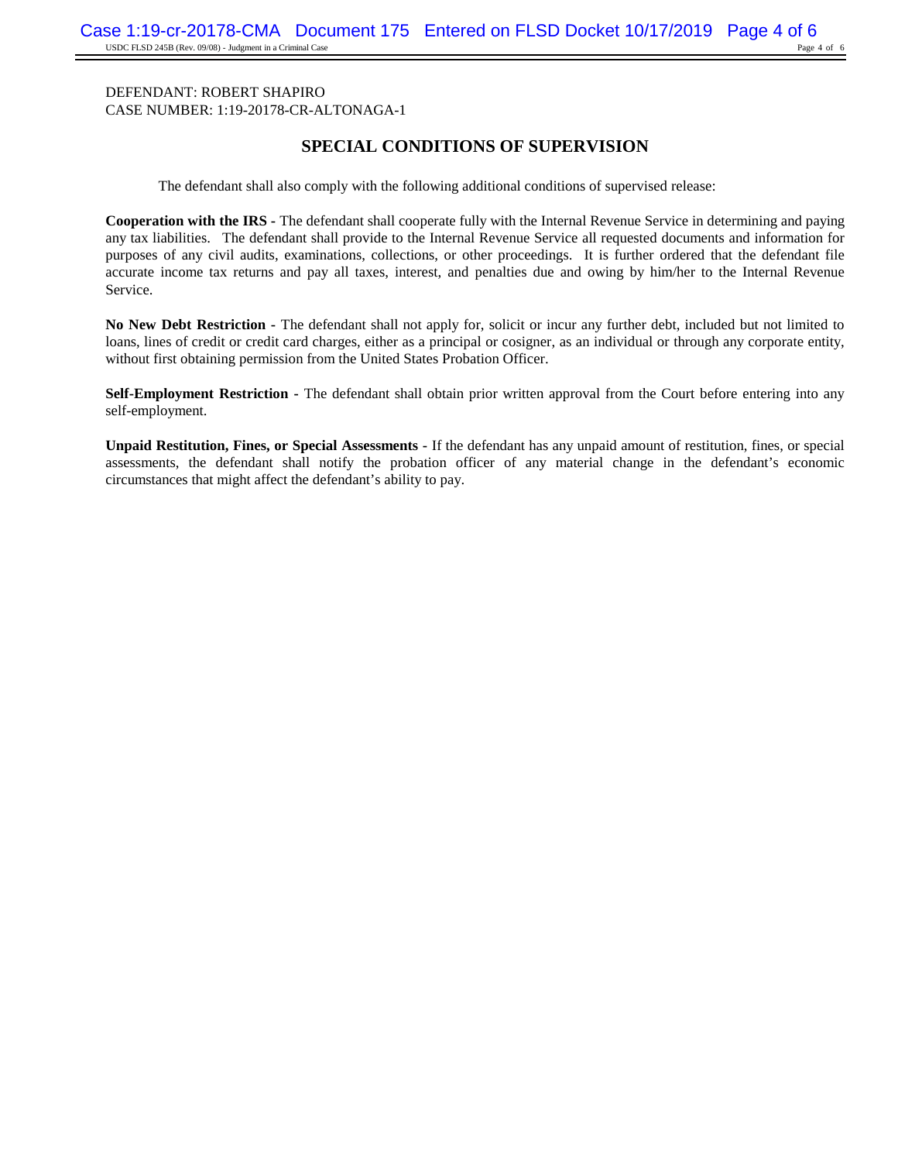# **SPECIAL CONDITIONS OF SUPERVISION**

The defendant shall also comply with the following additional conditions of supervised release:

**Cooperation with the IRS -** The defendant shall cooperate fully with the Internal Revenue Service in determining and paying any tax liabilities. The defendant shall provide to the Internal Revenue Service all requested documents and information for purposes of any civil audits, examinations, collections, or other proceedings. It is further ordered that the defendant file accurate income tax returns and pay all taxes, interest, and penalties due and owing by him/her to the Internal Revenue Service.

**No New Debt Restriction -** The defendant shall not apply for, solicit or incur any further debt, included but not limited to loans, lines of credit or credit card charges, either as a principal or cosigner, as an individual or through any corporate entity, without first obtaining permission from the United States Probation Officer.

**Self-Employment Restriction -** The defendant shall obtain prior written approval from the Court before entering into any self-employment.

**Unpaid Restitution, Fines, or Special Assessments -** If the defendant has any unpaid amount of restitution, fines, or special assessments, the defendant shall notify the probation officer of any material change in the defendant's economic circumstances that might affect the defendant's ability to pay.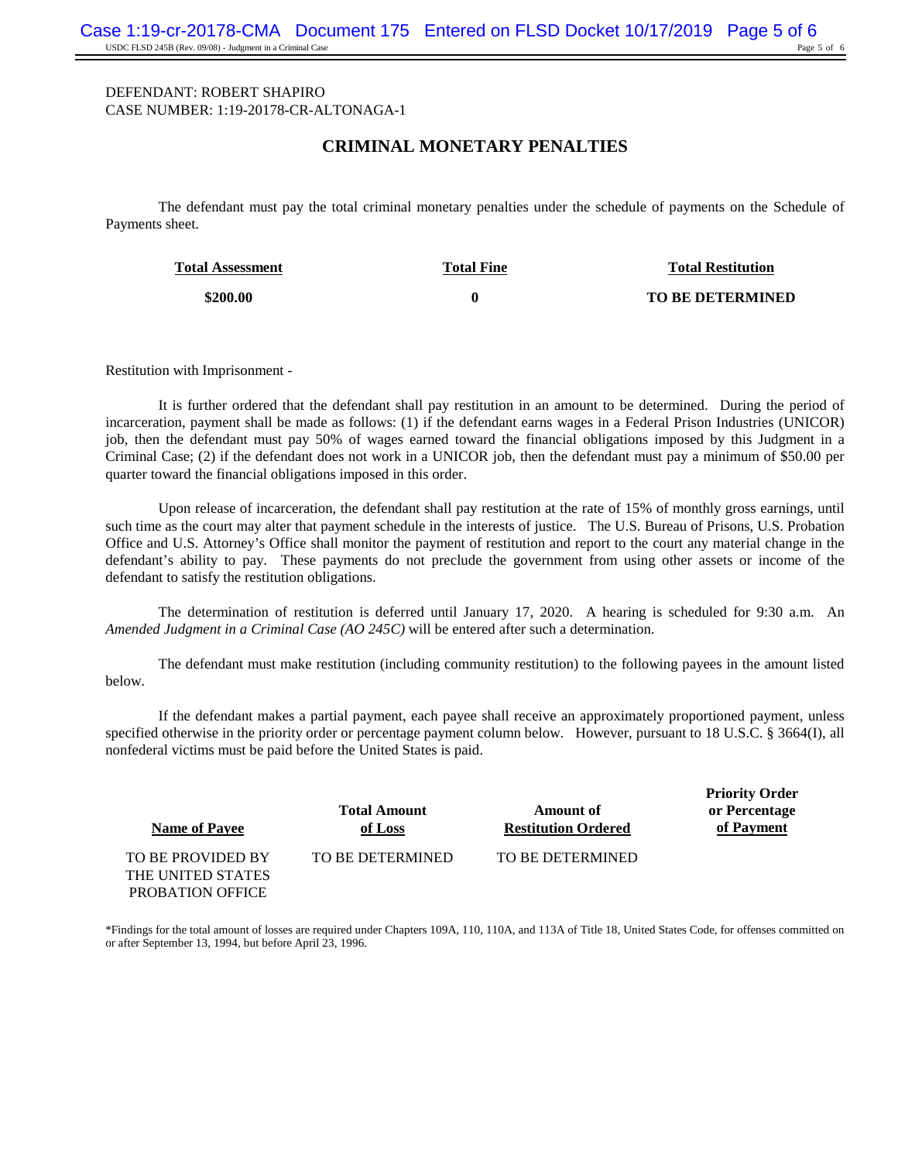#### **CRIMINAL MONETARY PENALTIES**

The defendant must pay the total criminal monetary penalties under the schedule of payments on the Schedule of Payments sheet.

| <b>Total Assessment</b> | <b>Total Fine</b> | <b>Total Restitution</b> |
|-------------------------|-------------------|--------------------------|
| \$200.00                |                   | <b>TO BE DETERMINED</b>  |

Restitution with Imprisonment -

It is further ordered that the defendant shall pay restitution in an amount to be determined. During the period of incarceration, payment shall be made as follows: (1) if the defendant earns wages in a Federal Prison Industries (UNICOR) job, then the defendant must pay 50% of wages earned toward the financial obligations imposed by this Judgment in a Criminal Case; (2) if the defendant does not work in a UNICOR job, then the defendant must pay a minimum of \$50.00 per quarter toward the financial obligations imposed in this order.

Upon release of incarceration, the defendant shall pay restitution at the rate of 15% of monthly gross earnings, until such time as the court may alter that payment schedule in the interests of justice. The U.S. Bureau of Prisons, U.S. Probation Office and U.S. Attorney's Office shall monitor the payment of restitution and report to the court any material change in the defendant's ability to pay. These payments do not preclude the government from using other assets or income of the defendant to satisfy the restitution obligations.

The determination of restitution is deferred until January 17, 2020. A hearing is scheduled for 9:30 a.m. An *Amended Judgment in a Criminal Case (AO 245C)* will be entered after such a determination.

The defendant must make restitution (including community restitution) to the following payees in the amount listed below.

If the defendant makes a partial payment, each payee shall receive an approximately proportioned payment, unless specified otherwise in the priority order or percentage payment column below. However, pursuant to 18 U.S.C. § 3664(I), all nonfederal victims must be paid before the United States is paid.

| <b>Name of Payee</b> | <b>Total Amount</b><br>of Loss | Amount of<br><b>Restitution Ordered</b> | <b>Priority Order</b><br>or Percentage<br>of Payment |
|----------------------|--------------------------------|-----------------------------------------|------------------------------------------------------|
| TO BE PROVIDED BY    | TO BE DETERMINED               | TO BE DETERMINED                        |                                                      |
| THE UNITED STATES    |                                |                                         |                                                      |
| PROBATION OFFICE     |                                |                                         |                                                      |

\*Findings for the total amount of losses are required under Chapters 109A, 110, 110A, and 113A of Title 18, United States Code, for offenses committed on or after September 13, 1994, but before April 23, 1996.